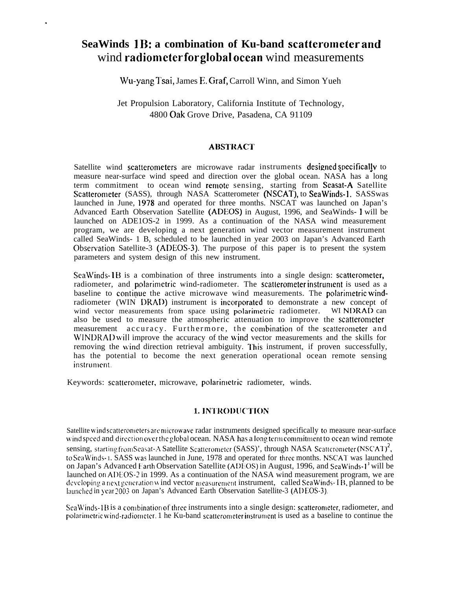# **SeaWinds 1B: a combination of Ku-band scatterometer and** wind radiometer for global ocean wind measurements

.

Wu-yang Tsai, James E. Graf, Carroll Winn, and Simon Yueh

Jet Propulsion Laboratory, California Institute of Technology, 4800 Oak Grove Drive, Pasadena, CA 91109

## **ABSTRACT**

Satellite wind scatterometers are microwave radar instruments designed specifically to measure near-surface wind speed and direction over the global ocean. NASA has a long term commitment to ocean wind remote sensing, starting from Seasat-A Satellite Scatterometer (SASS), through NASA Scatterometer (NSCAT), to SeaWinds-1. SASSwas launched in June, 1978 and operated for three months. NSCAT was launched on Japan's Advanced Earth Observation Satellite (ADEOS) in August, 1996, and SeaWinds- 1 will be launched on ADE1OS-2 in 1999. As a continuation of the NASA wind measurement program, we are developing a next generation wind vector measurement instrument called SeaWinds- 1 B, scheduled to be launched in year 2003 on Japan's Advanced Earth Obsenation Satellite-3 (ADEOS-3). The purpose of this paper is to present the system parameters and system design of this new instrument.

SeaWinds-1B is a combination of three instruments into a single design: scatterometer, radiometer, and polarimetric wind-radiometer. The scatterometer instrument is used as a baseline to continue the active microwave wind measurements. The polarimetric windradiometer (WIN DRAD) instrument is incorporated to demonstrate a new concept of wind vector measurements from space using polarimetric radiometer. WINDRAD can also be used to measure the atmospheric attenuation to improve the scatterometer measurement accuracy. Furthermore, the combination of the scatterometer and WINDRAD will improve the accuracy of the wind vector measurements and the skills for removing the wind direction retrieval ambiguity. This instrument, if proven successfully, has the potential to become the next generation operational ocean remote sensing instrument.

Keywords: scatterometer, microwave, polarimetric radiometer, winds.

## **1. INTRODUCTION**

Satellite wind scatterometers are microwave radar instruments designed specifically to measure near-surface wind speed and direction over the global ocean. NASA has a long term commitment to ocean wind remote sensing, starting from Seasat-A Satellite Scatterometer (SASS)', through NASA Scatterometer (NSCAT)<sup>2</sup>, to Sea Winds- 1. SASS was launched in June, 1978 and operated for three months. NSCAT was launched on Japan's Advanced Earth Observation Satellite (ADEOS) in August, 1996, and SeaWinds-1<sup>3</sup> will be launched on ADEOS-2 in 1999. As a continuation of the NASA wind measurement program, we are developing a next generation wind vector measurement instrument, called SeaWinds- I  $\bar{B}$ , planned to be launched in year 2003 on Japan's Advanced Earth Observation Satellite-3 (ADEOS-3).

 $SeaWinds-IB$  is a combination of three instruments into a single design: scatterometer, radiometer, and polarimetric wind-radiometer. 1 he Ku-band scatterometer instrument is used as a baseline to continue the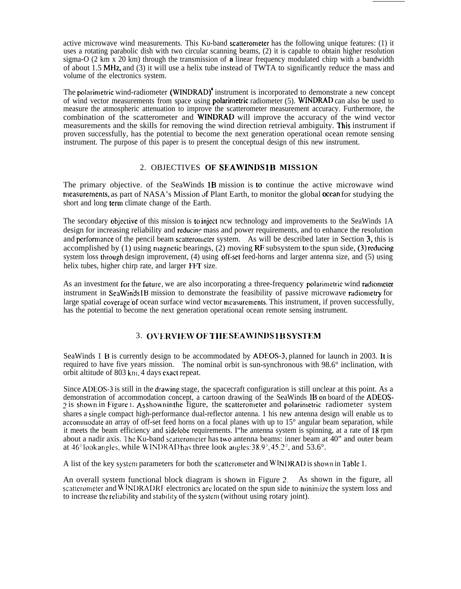active microwave wind measurements. This Ku-band scatterometer has the following unique features: (1) it uses a rotating parabolic dish with two circular scanning beams, (2) it is capable to obtain higher resolution sigma-O (2 km x 20 km) through the transmission of a linear frequency modulated chirp with a bandwidth of about 1.5 MHZ and (3) it will use a helix tube instead of TWTA to significantly reduce the mass and volume of the electronics system.

The polarimetric wind-radiometer (WINDRAD)<sup>4</sup> instrument is incorporated to demonstrate a new concept of wind vector measurements from space using polarirnetric radiometer (5). WINDRAD can also be used to measure the atmospheric attenuation to improve the scatterometer measurement accuracy. Furthermore, the combination of the scatterometer and WINDRAD will improve the accuracy of the wind vector measurements and the skills for removing the wind direction retrieval ambiguity. This instrument if proven successfully, has the potential to become the next generation operational ocean remote sensing instrument. The purpose of this paper is to present the conceptual design of this new instrument.

## 2. OBJECTIVES **OF SKAWINDS lB MISS1ON**

The primary objective. of the SeaWinds lB mission is 10 continue the active microwave wind measurements, as part of NASA's Mission of Plant Earth, to monitor the global ocean for studying the short and long term climate change of the Earth.

The secondary objective of this mission is to inject ncw technology and improvements to the SeaWinds 1A design for increasing reliability and reducing mass and power requirements, and to enhance the resolution and performance of the pencil beam scatterometer system. As will be described later in Section 3, this is accomplished by (1) using magnetic bearings, (2) moving RF subsystem to the spun side, (3) reducing system loss through design improvement, (4) using off-set feed-horns and larger antenna size, and (5) using helix tubes, higher chirp rate, and larger FFT size.

As an investment for the future, we are also incorporating a three-frequency polarimetric wind radiometer instrument in SeaWinds IB mission to demonstrate the feasibility of passive microwave radiometry for large spatial coverage'of ocean surface wind vector measurements. This instrument, if proven successfully, has the potential to become the next generation operational ocean remote sensing instrument.

## 3. OVERVIEW OF THE SEAWINDS 1B SYSTEM.

SeaWinds 1 B is currently design to be accommodated by ADEOS-3, planned for launch in 2003. It is required to have five years mission. The nominal orbit is sun-synchronous with 98.6° inclination, with orbit altitude of 803 km, 4 days exact repeat.

Since ADEOS-3 is still in the drawing stage, the spacecraft configuration is still unclear at this point. As a demonstration of accommodation concept, a cartoon drawing of the SeaWinds 1B on board of the ADEOS-2 is shown in Figure 1. As shown in the figure, the scatterometer and polarimetric radiometer system shares a single compact high-performance dual-reflector antenna. 1 his new antenna design will enable us to accommodate an array of off-set feed horns on a focal planes with up to  $15^{\circ}$  angular beam separation, while it meets the beam efficiency and sidelobe requirements. I"he antenna system is spinning, at a rate of 18 rpm about a nadir axis. The Ku-band scatterometer has two antenna beams: inner beam at 40" and outer beam at  $46^{\circ}$ look angles, while WINDRAD has three look angles:  $38.9^{\circ}$ ,  $45.2^{\circ}$ , and  $53.6^{\circ}$ .

A list of the key system parameters for both the scatterometer and WINDRAD is shown in Table 1.

An overall system functional block diagram is shown in Figure 2. As shown in the figure, all scatterometer and WINDRADRF electronics are located on the spun side to minimize the system loss and to increase the reliability and stability of the system (without using rotary joint).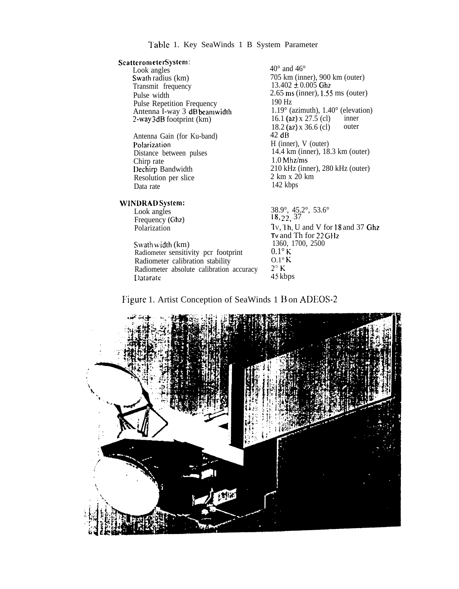#### Table 1. Key SeaWinds 1 B System Parameter

ScatterometerSystem: Look angles swath radius (km) Transmit frequency Pulse width Pulse Repetition Frequency Antenna I-way 3 dB beamwidth ~.way 3dB footprint (km) Antenna Gain (for Ku-band) Polarization Distance between pulses Chirp rate Dechirp Bandwidth Resolution per slice Data rate  $40^{\circ}$  and  $46^{\circ}$ 705 km (inner), 900 km (outer)  $13.402 \pm 0.005$  Ghz 2.65 rns (inner), 1.55 ms (outer) 190 Hz 1.19° (azimuth), 1.40° (elevation)<br>16.1 (az) x 27.5 (cl) inner 16.1 (az) x 27.5 (cl) inner<br>18.2 (az) x 36.6 (cl) outer  $18.2$  (az) x 36.6 (cl) 42 dB H (inner), V (outer) 14.4 km (inner), 18.3 km (outer)  $1.0$  Mhz/ms 210 kHz (inner), 280 kHz (outer) 2 km x 20 km 142 kbps

## WINDRAD System:

Look angles Frequency (Ghz) Polarization

Swath width (km) Radiometer sensitivity pcr footprint Radiometer calibration stability Radiometer absolute calibration accuracy Data rate

38.9°, 45.2°, 53.6°  $18, 22, 37$ <sup>1</sup> V, l'h, U and V for 18 and 37 Ghz **Tv** and Th for 22 GHz 1360, 1700, 2500  $0.1^\circ$  K  $\mathrm{O}.1^{\circ}$  K  $2^{\circ}$  K 45 kbps



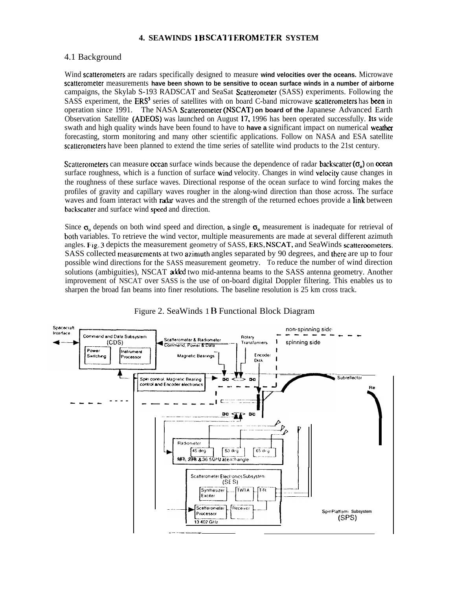## **4. SEAWINDS 1BSCATTEROMETER SYSTEM**

## 4.1 Background

Wind scatterometers are radars specifically designed to measure **wind velocities over the oceans.** Microwave scatterometer measurements **have been shown to be sensitive to ocean surface winds in a number of airborne** campaigns, the Skylab S-193 RADSCAT and SeaSat Scatterorneter (SASS) experiments. Following the SASS experiment, the ERS<sup>5</sup> series of satellites with on board C-band microwave scatterometers has been in operation since 1991. The NASA Scatterometer {NSCAT) **on board of the** Japanese Advanced Earth Observation Satellite (ADEOS) was launched on August 17, 1996 has been operated successfully. lts wide swath and high quality winds have been found to have to **have a** significant impact on numerical weathex forecasting, storm monitoring and many other scientific applications. Follow on NASA and ESA satellite scatterometers have been planned to extend the time series of satellite wind products to the 21st century.

Scatterorneters can measure ocean surface winds because the dependence of radar backscatter ( $\sigma_o$ ) on ocean surface roughness, which is a function of surface wind velocity. Changes in wind velocity cause changes in the roughness of these surface waves. Directional response of the ocean surface to wind forcing makes the profiles of gravity and capillary waves rougher in the along-wind direction than those across. The surface waves and foam interact with radar waves and the strength of the returned echoes provide a link between backscatter and surface wind speed and direction.

Since  $\sigma_0$  depends on both wind speed and direction, a single  $\sigma_0$  measurement is inadequate for retrieval of both variables. To retrieve the wind vector, multiple measurements are made at several different azimuth angles. Fig. 3 depicts the measurement geometry of SASS, ERS, NSCAT, and SeaWinds scatteroometers. SASS collected measurements at two azimuth angles separated by 90 degrees, and there are up to four possible wind directions for the SASS measurement geometry. To reduce the number of wind direction SASS collected measurements at two azimuth angles separated by 90 degrees, and there are up to four<br>possible wind directions for the SASS measurement geometry. To reduce the number of wind direction<br>solutions (ambiguities) improvement of NSCAT over SASS is the use of on-board digital Doppler filtering. This enables us to sharpen the broad fan beams into finer resolutions. The baseline resolution is 25 km cross track.



Figure 2. SeaWinds 1 B Functional Block Diagram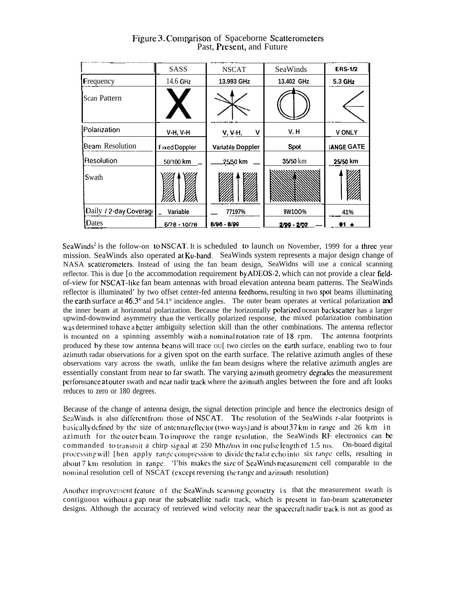|                        | <b>SASS</b>          | <b>NSCAT</b>     | SeaWinds    | <b>ERS-1/2</b>    |
|------------------------|----------------------|------------------|-------------|-------------------|
| Frequency              | 14.6 GHz             | 13.993 GHz       | 13.402 GHz  | 5.3 GHz           |
| Scan Pattern           |                      |                  |             |                   |
| Polarization           | $V-H, V-H$           | v<br>V, V-H,     | V. H        | <b>VONLY</b>      |
| Beam Resolution        | <b>Fixed Doppler</b> | Variable Doppler | Spot        | <b>IANGE GATE</b> |
| Resolution             | 50/100 km            | 25150 km         | 35/50 km    | 25/50 km          |
| Swath                  |                      |                  |             |                   |
| Daily / 2-day Coverago | Variable             | 77197%           | 9W100%      | 41%               |
| Dates                  | $6/78 - 10/78$       | $8/96 - 8/99$    | 2/99 - 2/02 | и                 |

Figure 3. Comparison of Spaceborne Scatterometers Past, Present, and Future

SeaWinds<sup>2</sup> is the follow-on to NSCAT. It is scheduled to launch on November, 1999 for a three year mission. SeaWinds also operated at Ku-band. SeaWinds system represents a major design change of NASA scatterometers. Instead of using the fan beam design, SeaWidns will use a conical scanning reflector. This is due [o the accommodation requirement by ADEOS-2, which can not provide a clear fieldof-view for NSCAT-like fan beam antennas with broad elevation antenna beam patterns. The SeaWinds reflector is illuminated' by two offset center-fed antenna fecdhoms, resulting in two spot beams illuminating the earth surface at  $46.3^\circ$  and  $54.1^\circ$  incidence angles. The outer beam operates at vertical polarization and the inner beam at horizontal polarization. Because the horizontally Wlarizd ocean backscatter has a larger upwind-downwind asymmetry than the vertically polarized response, the mixed polarization combination was determined to have a better ambiguity selection skill than the other combinations. The antenna reflector is mounted on a spinning assembly with a nominal rotation rate of  $18$  rpm. The antenna footprints produced by these tow antenna beams will trace oul two circles on the earth surface, enabling two to four azimuth radar observations for a given spot on the earth surface. The relative azimuth angles of these observations vary across the swath, unlike the fan beam designs where the relative azimuth angles are essentially constant from near to far swath. The varying azimuth geometry degrades the measurement performance at outer swath and near nadir track where the azimuth angles between the fore and aft looks reduces to zero or 180 degrees.

Because of the change of antenna design, the signal detection principle and hence the electronics design of SeaWinds is also different from those of NSCAT. The resolution of the SeaWinds r-alar footprints is basically defined by the size of antenna reflector (two-ways) and is about  $37 \text{ km}$  in range and  $26 \text{ km}$  in azimuth for the outer beam. To improve the range resolution, the SeaWinds RF electronics can be commanded to transmit a chirp signal at 250 Mhz/ms in one pulse length of  $1.5$  ms. On-board digital processing will [hen apply range compression to divide the radar echo into six range cells, resulting in about 7 km resolution in range. 'l'his makes the size of SeaWinds measurement cell comparable to the nominal resolution cell of NSCAT (except reversing the range and azimuth resolution)

Another improvement feature of the SeaWinds scanning geometry is that the measurement swath is contiguous without a gap near the subsatellite nadir track, which is present in fan-beam scatterometer designs. Although the accuracy of retrieved wind velocity near the spacecraft nadir track is not as good as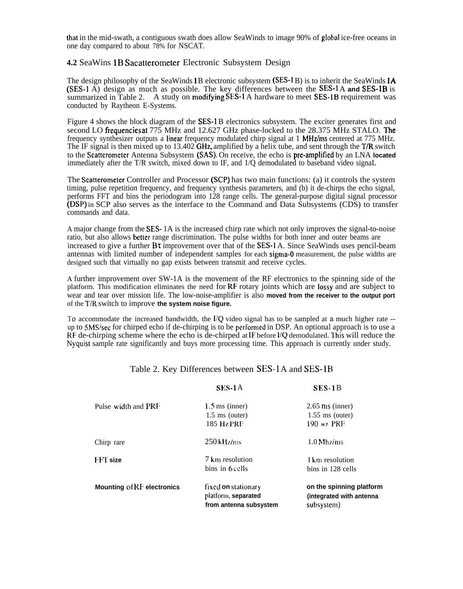that in the mid-swath, a contiguous swath does allow SeaWinds to image 90% of global ice-free oceans in one day compared to about 78% for NSCAT.

#### **4.2** SeaWins lB Sacatterometer Electronic Subsystem Design

The design philosophy of the SeaWinds **I**B electronic subsystem (SES-1<sub>B</sub>) is to inherit the SeaWinds **1A** (SES-I A) design as much as possible. The key differences between the SES-l A **and** SES-lB is summarized in Table 2. A study on modifying SES-1 A hardware to meet SES-1B requirement was conducted by Raytheon E-Systems.

Figure 4 shows the block diagram of the SES-1 B electronics subsystem. The exciter generates first and second LO frequencies at 775 MHz and 12.627 GHz phase-locked to the 28.375 MHz STALO. The frequency synthesizer outputs a linear frequency modulated chirp signal at 1 MHz/ms centered at 775 MHz. The IF signal is then mixed up to  $13.402$  GHz, amplified by a helix tube, and sent through the T/R switch to the Scatterometer Antenna Subsystem (SAS). On receive, the echo is pre-amplified by an LNA **located** immediately after the T/R switch, mixed down to IF, and 1/Q demodulated to baseband video signaL

The Scatterometer Controller and Processor (SCP) has two main functions: (a) it controls the system timing, pulse repetition frequency, and frequency synthesis parameters, and (b) it de-chirps the echo signal, performs FFT and bins the periodogram into 128 range cells. The general-purpose digital signal processor (DSP) in SCP also serves as the interface to the Command and Data Subsystems (CDS) to transfer commands and data.

A major change from the SES- 1A is the increased chirp rate which not only improves the signal-to-noise ratio, but also allows better range discrimination. The pulse widths for both inner and outer beams are increased to give a further Bt improvement over that of the SES-1 A. Since SeaWinds uses pencil-beam antennas with limited number of independent samples for each sigma-0 measurement, the pulse widths are designed such that virtually no gap exists between transmit and receive cycles.

A further improvement over SW-1A is the movement of the RF electronics to the spinning side of the platform. This modification eliminates the need for RF rotary joints which are Iossy and are subject to wear and tear over mission life. The low-noise-amplifier is also **moved from the receiver to the output port** of the T/R switch to improve **the system noise figure.**

To accommodate the increased bandwidth, the I/Q video signal has to be sampled at a much higher rate - up to 5 MS/sec for chirped echo if de-chirping is to be performed in DSP. An optional approach is to use a RF de-chirping scheme where the echo is de-chirped at IF before VQ demodulated. I'his will reduce the Nyquist sample rate significantly and buys more processing time. This approach is currently under study.

|                              | $SES-1A$                                   | $SES-1B$                                             |
|------------------------------|--------------------------------------------|------------------------------------------------------|
| Pulse width and PRF          | $1.5$ ms (inner)                           | $2.65$ ms (inner)                                    |
|                              | $1.5 \text{ ms}$ (outer)                   | $1.55$ ms (outer)                                    |
|                              | <b>185 HzPRF</b>                           | $190$ $H7$ PRF                                       |
| Chirp rare                   | $250$ kHz/ms                               | $1.0$ Mh $z$ /ms                                     |
| <b>FFT</b> size              | 7 km resolution                            | I km resolution                                      |
|                              | bins in 6 cells                            | bins in 128 cells                                    |
| Mounting of $RF$ electronics | fixed on stationary<br>platform, separated | on the spinning platform<br>(integrated with antenna |
|                              | from antenna subsystem                     | subsystem)                                           |

## Table 2. Key Differences between SES-l A and SES-lB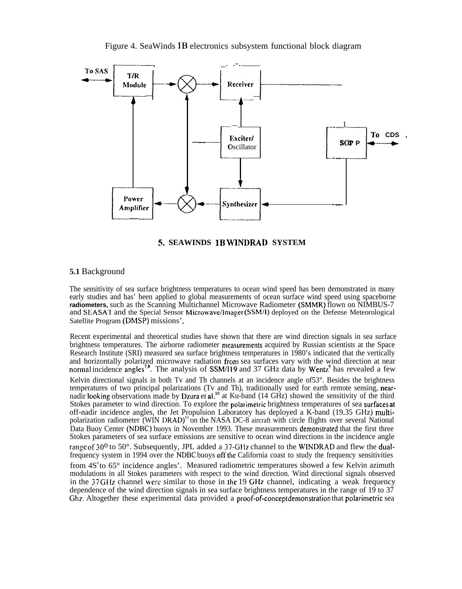

#### **5. SEAWINDS lB WINDRAD SYSTEM**

## **5.1** Background

The sensitivity of sea surface brightness temperatures to ocean wind speed has been demonstrated in many early studies and has' been applied to global measurements of ocean surface wind speed using spaceborne **radiometers,** such as the Scanning Multichannel Microwave Radiometer (SMMR) flown on NIMBUS-7 and SEASAT and the Special Sensor Microwave/Imager (SSM/I) deployed on the Defense Meteorological Satellite Program (DMSP) missions',

Recent experimental and theoretical studies have shown that there are wind direction signals in sea surface brightness temperatures. The airborne radiometer measurements acquired by Russian scientists at the Space Research Institute (SRI) measured sea surface brightness temperatures in 1980's indicated that the vertically and horizontally polarized microwave radiation from sea surfaces vary with the wind direction at near normal incidence angles<sup>78</sup>. The analysis of SSM/119 and 37 GHz data by Wentz<sup>9</sup> has revealed a few Kelvin directional signals in both Tv and Th channels at an incidence angle of 53°. Besides the brightness temperatures of two principal polarizations (Tv and Th), traditionally used for earth remote sensing, nearnadir looking observations made by Dzura et al.<sup>10</sup> at Ku-band (14 GHz) showed the sensitivity of the third Stokes parameter to wind direction. To explore the polarimetric brightness temperatures of sea surfacesat off-nadir incidence angles, the Jet Propulsion Laboratory has deployed a K-band (19.35 GHz) multipolarization radiometer (WIN DRAD)" on the NASA DC-8 aircraft with circle flights over several National Data Buoy Center (NDBC) buoys in November 1993. These measurements demonstrated that the first three Stokes parameters of sea surface emissions are sensitive to ocean wind directions in the incidence angle range of  $30^{\circ}$  to  $50^{\circ}$ . Subsequently, JPL added a 37-GHz channel to the WINDRAD and flew the dualfrequency system in 1994 over the NDBC buoys offthe California coast to study the frequency sensitivities from  $4S<sup>o</sup>$  to  $65<sup>o</sup>$  incidence angles'. Measured radiometric temperatures showed a few Kelvin azimuth modulations in all Stokes parameters with respect to the wind direction. Wind directional signals observed in the 37 Gllz channel were similar to those in the 19 GHz channel, indicating a weak frequency dependence of the wind direction signals in sea surface brightness temperatures in the range of 19 to 37 Ghz.. Altogether these experimental data provided a proof-of-conceptdemonstration that polarimetric sea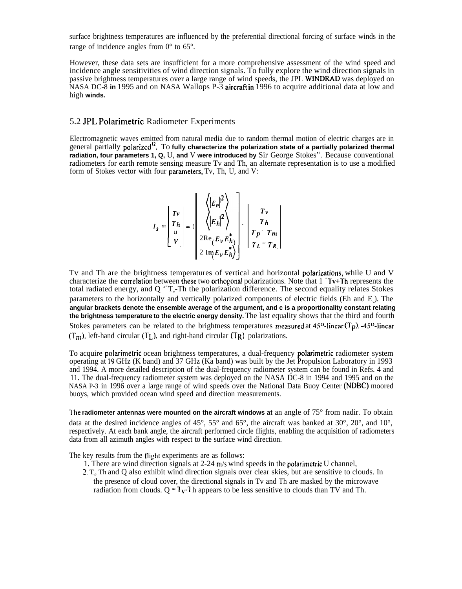surface brightness temperatures are influenced by the preferential directional forcing of surface winds in the range of incidence angles from 0° to 65°.

However, these data sets are insufficient for a more comprehensive assessment of the wind speed and incidence angle sensitivities of wind direction signals. To fully explore the wind direction signals in passive brightness temperatures over a large range of wind speeds, the JPL WINDRAD was deployed on NASA DC-8 **in** 1995 and on NASA Wallops P-3 aircraftin 1996 to acquire additional data at low and high **winds.**

## 5.2 JPL Polarimetric Radiometer Experiments

Electromagnetic waves emitted from natural media due to random thermal motion of electric charges are in general partially **polarized<sup>12</sup>.** To fully characterize the polarization state of a partially polarized thermal radiation, four parameters 1, Q, U, and V were introduced by Sir George Stokes<sup>22</sup>. Because conventional radiometers for earth remote sensing measure Tv and Th, an alternate representation is to use a modified form of Stokes vector with four parameters, Tv, Th, U, and V:

$$
I_{s} = \begin{bmatrix} Tv \\ Th \\ u \\ v \end{bmatrix} = \left( \begin{bmatrix} \langle |E_{v}|^{2} \rangle \\ \langle |E_{h}|^{2} \rangle \\ 2\mathrm{Re}_{(E_{v}E_{h}^{*})} \\ 2\mathrm{Im}_{E_{v}E_{h}^{*}} \rangle \end{bmatrix} \cdot \begin{bmatrix} Tv \\ Th \\ Tp \quad Tm \\ T_{L} - T_{R} \end{bmatrix}
$$

Ty and Th are the brightness temperatures of vertical and horizontal **polarizations**, while U and V characterize the correlation between these two orthoponal polarizations. Note that  $1 \overline{ }$  Tv+Th represents the total radiated energy, and Q  $-T$ , Th the polarization difference. The second equality relates Stokes parameters to the horizontally and vertically polarized components of electric fields (Eh and E<sub>v</sub>). The **angular brackets denote the ensemble average of the argument, and c is a proportionality constant relating the brightness temperature to the electric energy density.** The last equality shows that the third and fourth Stokes parameters can be related to the brightness temperatures measured at  $45^{\circ}$ -linear (T<sub>p</sub>), -45<sup>o</sup>-linear  $(T_m)$ , left-hand circular (T<sub>L</sub>), and right-hand circular (T<sub>R</sub>) polarizations.

To acquire polarimetric ocean brightness temperatures, a dual-frequency polarimetric radiometer system operating at 19 GHz (K band) and 37 GHz (Ka band) was built by the Jet Propulsion Laboratory in 1993 and 1994. A more detailed description of the dual-frequency radiometer system can be found in Refs. 4 and 11. The dual-frequency radiometer system was deployed on the NASA DC-8 in 1994 and 1995 and on the NASA P-3 in 1996 over a large range of wind speeds over the National Data Buoy Center (NDBC) moored buoys, which provided ocean wind speed and direction measurements.

**l'he radiometer antennas were mounted on the aircraft windows at** an angle of 75° from nadir. To obtain data at the desired incidence angles of 45°, 55° and 65°, the aircraft was banked at 30°, 20°, and 10°, respectively. At each bank angle, the aircraft performed circle flights, enabling the acquisition of radiometers data from all azimuth angles with respect to the surface wind direction.

The key results from the flight experiments are as follows:

- 1. There are wind direction signals at  $2-24$  m/s wind speeds in the polarimetric U channel,
- 2. T., Th and Q also exhibit wind direction signals over clear skies, but are sensitive to clouds. In the presence of cloud cover, the directional signals in Tv and Th are masked by the microwave radiation from clouds. Q =  $T_V$ -Th appears to be less sensitive to clouds than TV and Th.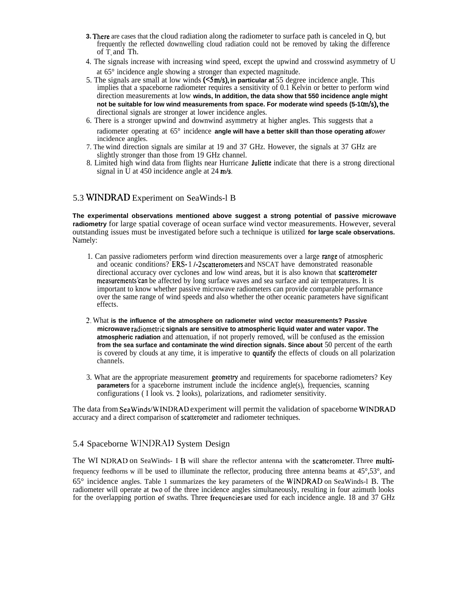- **3.** There are cases that the cloud radiation along the radiometer to surface path is canceled in Q, but frequently the reflected downwelling cloud radiation could not be removed by taking the difference of  $\overline{T}$ , and Th.
- 4. The signals increase with increasing wind speed, except the upwind and crosswind asymmetry of U at 65° incidence angle showing a stronger than expected magnitude.
- 5. The signals are small at low winds  $(\leq 5 \text{ m/s})$ , in particular at 55 degree incidence angle. This implies that a spaceborne radiometer requires a sensitivity of 0.1 Kelvin or better to perform wind direction measurements at low **winds, In addition, the data show that 550 incidence angle might** not be suitable for low wind measurements from space. For moderate wind speeds (5-10m/s), the directional signals are stronger at lower incidence angles.
- 6. There is a stronger upwind and downwind asymmetry at higher angles. This suggests that a radiometer operating at 65° incidence **angle will have a better skill than those operating at** *lower* incidence angles.
- 7. The wind direction signals are similar at 19 and 37 GHz. However, the signals at 37 GHz are slightly stronger than those from 19 GHz channel.
- 8. Limited high wind data from flights near Hurricane Juliette indicate that there is a strong directional signal in U at 450 incidence angle at  $24$  m/s.

## 5.3 WINDRAD Experiment on SeaWinds-l B

**The experimental observations mentioned above suggest a strong potential of passive microwave radiometry** for large spatial coverage of ocean surface wind vector measurements. However, several outstanding issues must be investigated before such a technique is utilized **for large scale observations.** Namely:

- 1. Can passive radiometers perform wind direction measurements over a large mnge of atmospheric and oceanic conditions? ERS- 1 /-2 scatterometers and NSCAT have demonstrated reasonable directional accuracy over cyclones and low wind areas, but it is also known that scatterometer measurements'can be affected by long surface waves and sea surface and air temperatures. It is important to know whether passive microwave radiometers can provide comparable performance over the same range of wind speeds and also whether the other oceanic parameters have significant effects.
- **2.** What **is the influence of the atmosphere on radiometer wind vector measurements? Passive microwave radiometric signals are sensitive to atmospheric liquid water and water vapor. The atmospheric radiation** and attenuation, if not properly removed, will be confused as the emission **from the sea surface and contaminate the wind direction signals. Since about** 50 percent of the earth is covered by clouds at any time, it is imperative to quantify the effects of clouds on all polarization channels.
- 3. What are the appropriate measurement geometry and requirements for spaceborne radiometers? Key **parameters** for a spaceborne instrument include the incidence angle(s), frequencies, scanning configurations ( I look vs. 2 looks), polarizations, and radiometer sensitivity.

The data from SeaWinds/W'INDRAD experiment will permit the validation of spaceborne WINDRAD accuracy and a direct comparison of scatterometer and radiometer techniques.

### 5.4 Spaceborne WINDR-41) System Design

The WI NDRAD on SeaWinds- I B will share the reflector antenna with the scatterometer. Three multifrequency feedhorns w ill be used to illuminate the reflector, producing three antenna beams at 45°,53°, and 65° incidence angles. Table 1 summarizes the key parameters of the WINDRAD on SeaWinds-l B. The radiometer will operate at two of the three incidence angles simultaneously, resulting in four azimuth looks for the overlapping portion of swaths. Three frequencies are used for each incidence angle. 18 and 37 GHz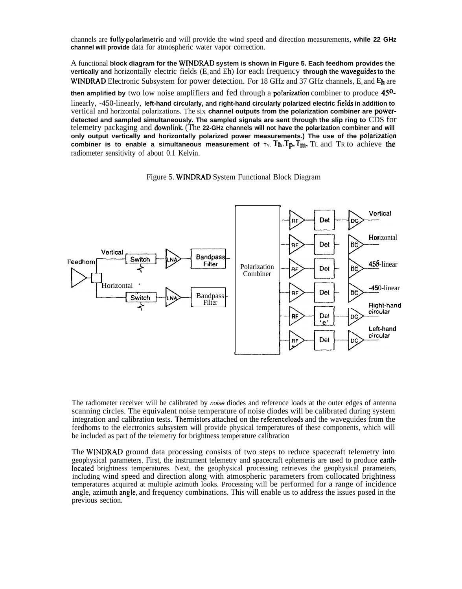channels are fully polarimetric and will provide the wind speed and direction measurements, **while 22 GHz channel will provide** data for atmospheric water vapor correction.

A functional **block diagram for the WINDRAD system is shown in Figure 5. Each feedhom provides the** vertically and horizontally electric fields (E<sub>v</sub> and Eh) for each frequency through the waveguides to the WINDRAD Electronic Subsystem for power detection. For 18 GHz and 37 GHz channels, E<sub>v</sub> and  $E_h$  are

then amplified by two low noise amplifiers and fed through a polarization combiner to produce 45<sup>0</sup>-

linearly, -450-linearly, **left-hand circularly, and right-hand circularly polarized electric fields in addition to** vertical and horizontal polarizations. The six **channel outputs from the polarization combiner are powerdetected and sampled simultaneously. The sampled signals are sent through the slip ring to** CDS for telemetry packaging and downlink. (The **22-GHz channels will not have the polarization combiner and will** only output vertically and horizontally polarized power measurements.) The use of the polarization **combiner is to enable a simultaneous measurement of**  $\tau v$ **,**  $T_h$ **,**  $T_p$ **,**  $T_m$ **,**  $T_L$  **and**  $T_R$  **to achieve the** radiometer sensitivity of about 0.1 Kelvin.

Figure 5. WINDRAD System Functional Block Diagram



The radiometer receiver will be calibrated by noise diodes and reference loads at the outer edges of antenna scanning circles. The equivalent noise temperature of noise diodes will be calibrated during system integration and calibration tests. Thermistors attached on the referenceloads and the waveguides from the feedhoms to the electronics subsystem will provide physical temperatures of these components, which will be included as part of the telemetry for brightness temperature calibration

The WINDRAD ground data processing consists of two steps to reduce spacecraft telemetry into geophysical parameters. First, the instrument telemetry and spacecraft ephemeris are used to produce earth-Iocated brightness temperatures. Next, the geophysical processing retrieves the geophysical parameters, including wind speed and direction along with atmospheric parameters from collocated brightness temperatures acquired at multiple azimuth looks. Processing will be performed for a range of incidence angle, azimuth angle, and frequency combinations. This will enable us to address the issues posed in the previous section.